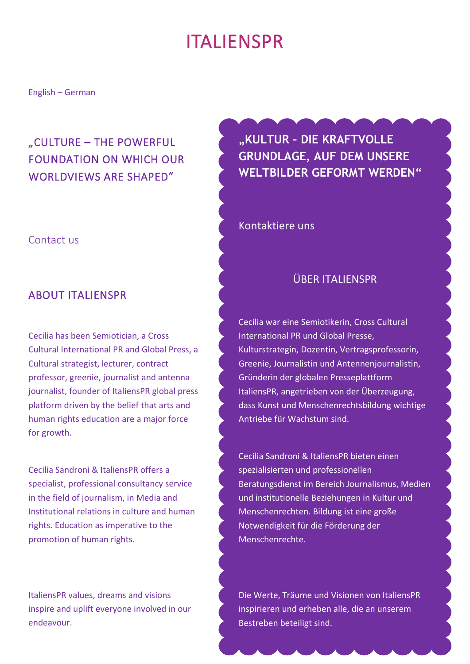# ITALIENSPR

English – German

# "CULTURE – THE POWERFUL FOUNDATION ON WHICH OUR WORLDVIEWS ARE SHAPED"

### Contact us

### ABOUT ITALIENSPR

Cecilia has been Semiotician, a Cross Cultural International PR and Global Press, a Cultural strategist, lecturer, contract professor, greenie, journalist and antenna journalist, founder of ItaliensPR global press platform driven by the belief that arts and human rights education are a major force for growth.

Cecilia Sandroni & ItaliensPR offers a specialist, professional consultancy service in the field of journalism, in Media and Institutional relations in culture and human rights. Education as imperative to the promotion of human rights.

ItaliensPR values, dreams and visions inspire and uplift everyone involved in our endeavour.

**"KULTUR – DIE KRAFTVOLLE GRUNDLAGE, AUF DEM UNSERE WELTBILDER GEFORMT WERDEN"**

Kontaktiere uns

### ÜBER ITALIENSPR

Cecilia war eine Semiotikerin, Cross Cultural International PR und Global Presse, Kulturstrategin, Dozentin, Vertragsprofessorin, Greenie, Journalistin und Antennenjournalistin, Gründerin der globalen Presseplattform ItaliensPR, angetrieben von der Überzeugung, dass Kunst und Menschenrechtsbildung wichtige Antriebe für Wachstum sind.

Cecilia Sandroni & ItaliensPR bieten einen spezialisierten und professionellen Beratungsdienst im Bereich Journalismus, Medien und institutionelle Beziehungen in Kultur und Menschenrechten. Bildung ist eine große Notwendigkeit für die Förderung der Menschenrechte.

Die Werte, Träume und Visionen von ItaliensPR inspirieren und erheben alle, die an unserem Bestreben beteiligt sind.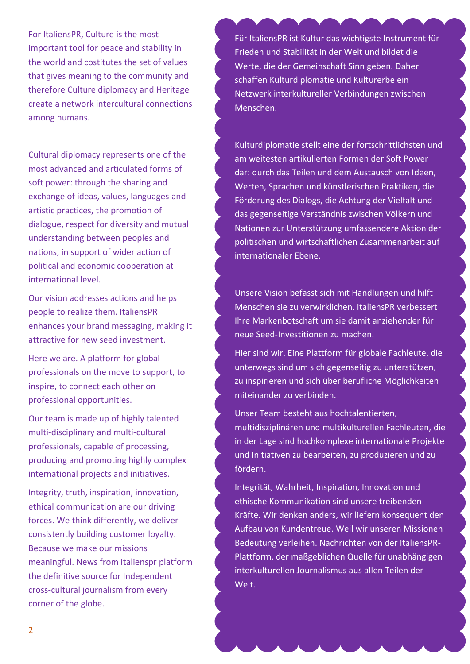For ItaliensPR, Culture is the most important tool for peace and stability in the world and costitutes the set of values that gives meaning to the community and therefore Culture diplomacy and Heritage create a network intercultural connections among humans.

Cultural diplomacy represents one of the most advanced and articulated forms of soft power: through the sharing and exchange of ideas, values, languages and artistic practices, the promotion of dialogue, respect for diversity and mutual understanding between peoples and nations, in support of wider action of political and economic cooperation at international level.

Our vision addresses actions and helps people to realize them. ItaliensPR enhances your brand messaging, making it attractive for new seed investment.

Here we are. A platform for global professionals on the move to support, to inspire, to connect each other on professional opportunities.

Our team is made up of highly talented multi-disciplinary and multi-cultural professionals, capable of processing, producing and promoting highly complex international projects and initiatives.

Integrity, truth, inspiration, innovation, ethical communication are our driving forces. We think differently, we deliver consistently building customer loyalty. Because we make our missions meaningful. News from Italienspr platform the definitive source for Independent cross-cultural journalism from every corner of the globe.

Für ItaliensPR ist Kultur das wichtigste Instrument für Frieden und Stabilität in der Welt und bildet die Werte, die der Gemeinschaft Sinn geben. Daher schaffen Kulturdiplomatie und Kulturerbe ein Netzwerk interkultureller Verbindungen zwischen Menschen.

Kulturdiplomatie stellt eine der fortschrittlichsten und am weitesten artikulierten Formen der Soft Power dar: durch das Teilen und dem Austausch von Ideen, Werten, Sprachen und künstlerischen Praktiken, die Förderung des Dialogs, die Achtung der Vielfalt und das gegenseitige Verständnis zwischen Völkern und Nationen zur Unterstützung umfassendere Aktion der politischen und wirtschaftlichen Zusammenarbeit auf internationaler Ebene.

Unsere Vision befasst sich mit Handlungen und hilft Menschen sie zu verwirklichen. ItaliensPR verbessert Ihre Markenbotschaft um sie damit anziehender für neue Seed-Investitionen zu machen.

Hier sind wir. Eine Plattform für globale Fachleute, die unterwegs sind um sich gegenseitig zu unterstützen, zu inspirieren und sich über berufliche Möglichkeiten miteinander zu verbinden.

Unser Team besteht aus hochtalentierten, multidisziplinären und multikulturellen Fachleuten, die in der Lage sind hochkomplexe internationale Projekte und Initiativen zu bearbeiten, zu produzieren und zu fördern.

Integrität, Wahrheit, Inspiration, Innovation und ethische Kommunikation sind unsere treibenden Kräfte. Wir denken anders, wir liefern konsequent den Aufbau von Kundentreue. Weil wir unseren Missionen Bedeutung verleihen. Nachrichten von der ItaliensPR-Plattform, der maßgeblichen Quelle für unabhängigen interkulturellen Journalismus aus allen Teilen der Welt.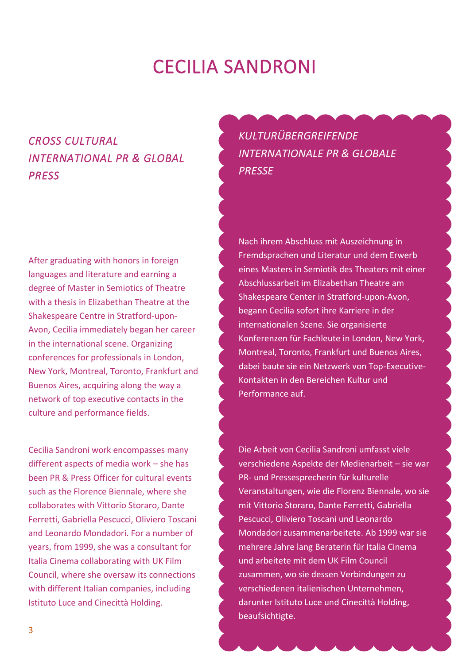# CECILIA SANDRONI

# *CROSS CULTURAL INTERNATIONAL PR & GLOBAL PRESS*

After graduating with honors in foreign languages and literature and earning a degree of Master in Semiotics of Theatre with a thesis in Elizabethan Theatre at the Shakespeare Centre in Stratford-upon-Avon, Cecilia immediately began her career in the international scene. Organizing conferences for professionals in London, New York, Montreal, Toronto, Frankfurt and Buenos Aires, acquiring along the way a network of top executive contacts in the culture and performance fields.

Cecilia Sandroni work encompasses many different aspects of media work – she has been PR & Press Officer for cultural events such as the Florence Biennale, where she collaborates with Vittorio Storaro, Dante Ferretti, Gabriella Pescucci, Oliviero Toscani and Leonardo Mondadori. For a number of years, from 1999, she was a consultant for Italia Cinema collaborating with UK Film Council, where she oversaw its connections with different Italian companies, including Istituto Luce and Cinecittà Holding.

*KULTURÜBERGREIFENDE INTERNATIONALE PR & GLOBALE PRESSE*

Nach ihrem Abschluss mit Auszeichnung in Fremdsprachen und Literatur und dem Erwerb eines Masters in Semiotik des Theaters mit einer Abschlussarbeit im Elizabethan Theatre am Shakespeare Center in Stratford-upon-Avon, begann Cecilia sofort ihre Karriere in der internationalen Szene. Sie organisierte Konferenzen für Fachleute in London, New York, Montreal, Toronto, Frankfurt und Buenos Aires, dabei baute sie ein Netzwerk von Top-Executive-Kontakten in den Bereichen Kultur und Performance auf.

Die Arbeit von Cecilia Sandroni umfasst viele verschiedene Aspekte der Medienarbeit – sie war PR- und Pressesprecherin für kulturelle Veranstaltungen, wie die Florenz Biennale, wo sie mit Vittorio Storaro, Dante Ferretti, Gabriella Pescucci, Oliviero Toscani und Leonardo Mondadori zusammenarbeitete. Ab 1999 war sie mehrere Jahre lang Beraterin für Italia Cinema und arbeitete mit dem UK Film Council zusammen, wo sie dessen Verbindungen zu verschiedenen italienischen Unternehmen, darunter Istituto Luce und Cinecittà Holding, beaufsichtigte.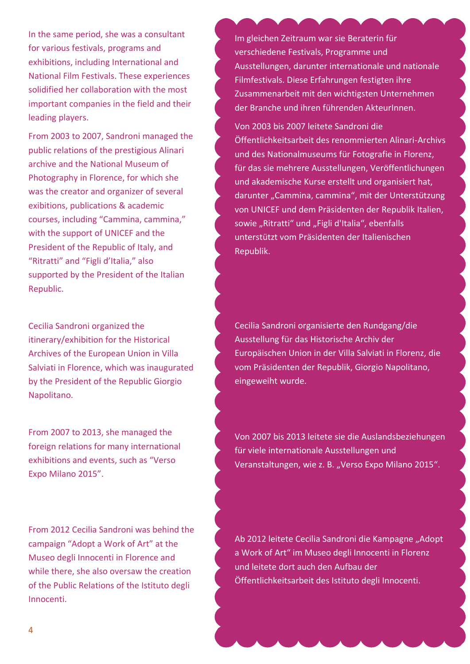In the same period, she was a consultant for various festivals, programs and exhibitions, including International and National Film Festivals. These experiences solidified her collaboration with the most important companies in the field and their leading players.

From 2003 to 2007, Sandroni managed the public relations of the prestigious Alinari archive and the National Museum of Photography in Florence, for which she was the creator and organizer of several exibitions, publications & academic courses, including "Cammina, cammina," with the support of UNICEF and the President of the Republic of Italy, and "Ritratti" and "Figli d'Italia," also supported by the President of the Italian Republic.

Cecilia Sandroni organized the itinerary/exhibition for the Historical Archives of the European Union in Villa Salviati in Florence, which was inaugurated by the President of the Republic Giorgio Napolitano.

From 2007 to 2013, she managed the foreign relations for many international exhibitions and events, such as "Verso Expo Milano 2015".

From 2012 Cecilia Sandroni was behind the campaign "Adopt a Work of Art" at the Museo degli Innocenti in Florence and while there, she also oversaw the creation of the Public Relations of the Istituto degli Innocenti.

Im gleichen Zeitraum war sie Beraterin für verschiedene Festivals, Programme und Ausstellungen, darunter internationale und nationale Filmfestivals. Diese Erfahrungen festigten ihre Zusammenarbeit mit den wichtigsten Unternehmen der Branche und ihren führenden AkteurInnen.

Von 2003 bis 2007 leitete Sandroni die Öffentlichkeitsarbeit des renommierten Alinari-Archivs und des Nationalmuseums für Fotografie in Florenz, für das sie mehrere Ausstellungen, Veröffentlichungen und akademische Kurse erstellt und organisiert hat, darunter "Cammina, cammina", mit der Unterstützung von UNICEF und dem Präsidenten der Republik Italien, sowie "Ritratti" und "Figli d'Italia", ebenfalls unterstützt vom Präsidenten der Italienischen Republik.

Cecilia Sandroni organisierte den Rundgang/die Ausstellung für das Historische Archiv der Europäischen Union in der Villa Salviati in Florenz, die vom Präsidenten der Republik, Giorgio Napolitano, eingeweiht wurde.

Von 2007 bis 2013 leitete sie die Auslandsbeziehungen für viele internationale Ausstellungen und Veranstaltungen, wie z. B. "Verso Expo Milano 2015".

Ab 2012 leitete Cecilia Sandroni die Kampagne "Adopt a Work of Art" im Museo degli Innocenti in Florenz und leitete dort auch den Aufbau der Öffentlichkeitsarbeit des Istituto degli Innocenti.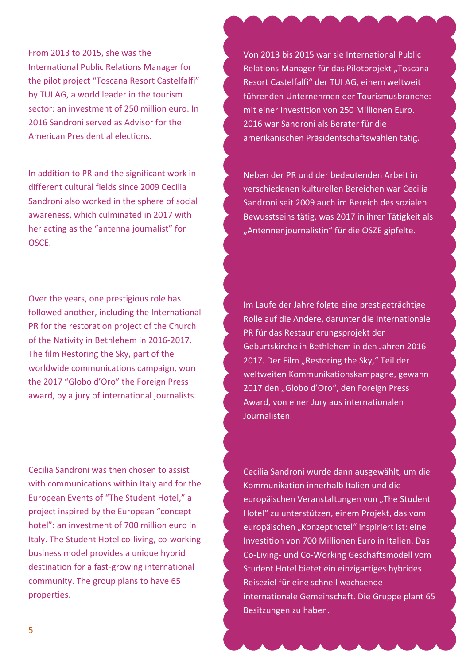From 2013 to 2015, she was the International Public Relations Manager for the pilot project "Toscana Resort Castelfalfi" by TUI AG, a world leader in the tourism sector: an investment of 250 million euro. In 2016 Sandroni served as Advisor for the American Presidential elections.

In addition to PR and the significant work in different cultural fields since 2009 Cecilia Sandroni also worked in the sphere of social awareness, which culminated in 2017 with her acting as the "antenna journalist" for OSCE.

Over the years, one prestigious role has followed another, including the International PR for the restoration project of the Church of the Nativity in Bethlehem in 2016-2017. The film Restoring the Sky, part of the worldwide communications campaign, won the 2017 "Globo d'Oro" the Foreign Press award, by a jury of international journalists.

Cecilia Sandroni was then chosen to assist with communications within Italy and for the European Events of "The Student Hotel," a project inspired by the European "concept hotel": an investment of 700 million euro in Italy. The Student Hotel co-living, co-working business model provides a unique hybrid destination for a fast-growing international community. The group plans to have 65 properties.

Von 2013 bis 2015 war sie International Public Relations Manager für das Pilotprojekt "Toscana Resort Castelfalfi" der TUI AG, einem weltweit führenden Unternehmen der Tourismusbranche: mit einer Investition von 250 Millionen Euro. 2016 war Sandroni als Berater für die amerikanischen Präsidentschaftswahlen tätig.

Neben der PR und der bedeutenden Arbeit in verschiedenen kulturellen Bereichen war Cecilia Sandroni seit 2009 auch im Bereich des sozialen Bewusstseins tätig, was 2017 in ihrer Tätigkeit als "Antennenjournalistin" für die OSZE gipfelte.

Im Laufe der Jahre folgte eine prestigeträchtige Rolle auf die Andere, darunter die Internationale PR für das Restaurierungsprojekt der Geburtskirche in Bethlehem in den Jahren 2016- 2017. Der Film "Restoring the Sky," Teil der weltweiten Kommunikationskampagne, gewann 2017 den "Globo d'Oro", den Foreign Press Award, von einer Jury aus internationalen Journalisten.

Cecilia Sandroni wurde dann ausgewählt, um die Kommunikation innerhalb Italien und die europäischen Veranstaltungen von "The Student Hotel" zu unterstützen, einem Projekt, das vom europäischen "Konzepthotel" inspiriert ist: eine Investition von 700 Millionen Euro in Italien. Das Co-Living- und Co-Working Geschäftsmodell vom Student Hotel bietet ein einzigartiges hybrides Reiseziel für eine schnell wachsende internationale Gemeinschaft. Die Gruppe plant 65 Besitzungen zu haben.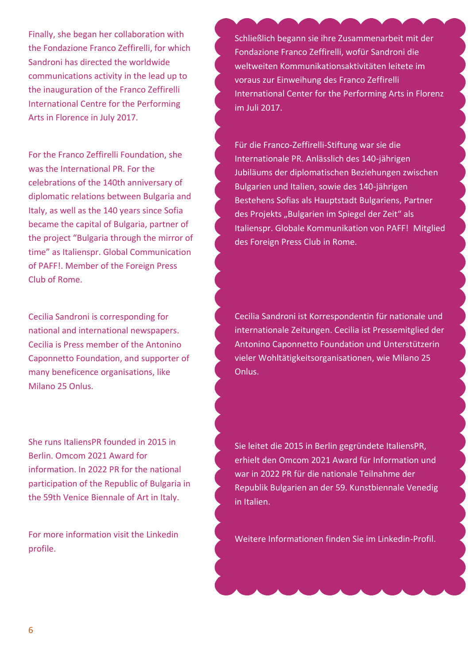Finally, she began her collaboration with the Fondazione Franco Zeffirelli, for which Sandroni has directed the worldwide communications activity in the lead up to the inauguration of the Franco Zeffirelli International Centre for the Performing Arts in Florence in July 2017.

For the Franco Zeffirelli Foundation, she was the International PR. For the celebrations of the 140th anniversary of diplomatic relations between Bulgaria and Italy, as well as the 140 years since Sofia became the capital of Bulgaria, partner of the project "Bulgaria through the mirror of time" as Italienspr. Global Communication of PAFF!. Member of the Foreign Press Club of Rome.

Cecilia Sandroni is corresponding for national and international newspapers. Cecilia is Press member of the Antonino Caponnetto Foundation, and supporter of many beneficence organisations, like Milano 25 Onlus.

She runs ItaliensPR founded in 2015 in Berlin. Omcom 2021 Award for information. In 2022 PR for the national participation of the Republic of Bulgaria in the 59th Venice Biennale of Art in Italy.

For more information visit the Linkedin profile.

Schließlich begann sie ihre Zusammenarbeit mit der Fondazione Franco Zeffirelli, wofür Sandroni die weltweiten Kommunikationsaktivitäten leitete im voraus zur Einweihung des Franco Zeffirelli International Center for the Performing Arts in Florenz im Juli 2017.

Für die Franco-Zeffirelli-Stiftung war sie die Internationale PR. Anlässlich des 140-jährigen Jubiläums der diplomatischen Beziehungen zwischen Bulgarien und Italien, sowie des 140-jährigen Bestehens Sofias als Hauptstadt Bulgariens, Partner des Projekts "Bulgarien im Spiegel der Zeit" als Italienspr. Globale Kommunikation von PAFF! Mitglied des Foreign Press Club in Rome.

Cecilia Sandroni ist Korrespondentin für nationale und internationale Zeitungen. Cecilia ist Pressemitglied der Antonino Caponnetto Foundation und Unterstützerin vieler Wohltätigkeitsorganisationen, wie Milano 25 Onlus.

Sie leitet die 2015 in Berlin gegründete ItaliensPR, erhielt den Omcom 2021 Award für Information und war in 2022 PR für die nationale Teilnahme der Republik Bulgarien an der 59. Kunstbiennale Venedig in Italien.

Weitere Informationen finden Sie im Linkedin-Profil.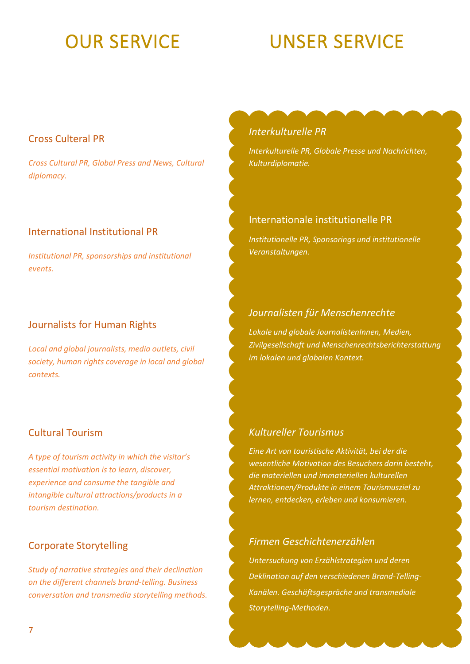# OUR SERVICE UNSER SERVICE

# Cross Culteral PR

*Cross Cultural PR, Global Press and News, Cultural diplomacy.*

# International Institutional PR

*Institutional PR, sponsorships and institutional events.* 

# Journalists for Human Rights

*Local and global journalists, media outlets, civil society, human rights coverage in local and global contexts.*

# Cultural Tourism

*A type of tourism activity in which the visitor's essential motivation is to learn, discover, experience and consume the tangible and intangible cultural attractions/products in a tourism destination.*

# Corporate Storytelling

*Study of narrative strategies and their declination on the different channels brand-telling. Business conversation and transmedia storytelling methods.*

### *Interkulturelle PR*

*Interkulturelle PR, Globale Presse und Nachrichten, Kulturdiplomatie.*

# Internationale institutionelle PR

*Institutionelle PR, Sponsorings und institutionelle Veranstaltungen.*

# *Journalisten für Menschenrechte*

*Lokale und globale JournalistenInnen, Medien, Zivilgesellschaft und Menschenrechtsberichterstattung im lokalen und globalen Kontext.*

# *Kultureller Tourismus*

*Eine Art von touristische Aktivität, bei der die wesentliche Motivation des Besuchers darin besteht, die materiellen und immateriellen kulturellen Attraktionen/Produkte in einem Tourismusziel zu lernen, entdecken, erleben und konsumieren.*

# *Firmen Geschichtenerzählen*

*Untersuchung von Erzählstrategien und deren Deklination auf den verschiedenen Brand-Telling-Kanälen. Geschäftsgespräche und transmediale Storytelling-Methoden.*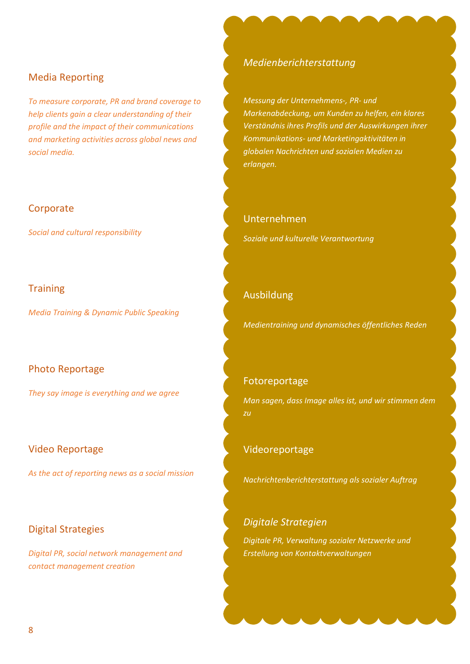#### Media Reporting

*To measure corporate, PR and brand coverage to help clients gain a clear understanding of their profile and the impact of their communications and marketing activities across global news and social media.*

#### **Corporate**

*Social and cultural responsibility*

#### **Training**

*Media Training & Dynamic Public Speaking*

#### Photo Reportage

*They say image is everything and we agree*

#### Video Reportage

*As the act of reporting news as a social mission*

#### Digital Strategies

*Digital PR, social network management and contact management creation*

#### *Medienberichterstattung*

*Messung der Unternehmens-, PR- und Markenabdeckung, um Kunden zu helfen, ein klares Verständnis ihres Profils und der Auswirkungen ihrer Kommunikations- und Marketingaktivitäten in globalen Nachrichten und sozialen Medien zu erlangen.*

# Unternehmen

*Soziale und kulturelle Verantwortung*

#### Ausbildung

*Medientraining und dynamisches öffentliches Reden*

#### Fotoreportage

*Man sagen, dass Image alles ist, und wir stimmen dem zu*

#### Videoreportage

*Nachrichtenberichterstattung als sozialer Auftrag*

#### *Digitale Strategien*

*Digitale PR, Verwaltung sozialer Netzwerke und Erstellung von Kontaktverwaltungen*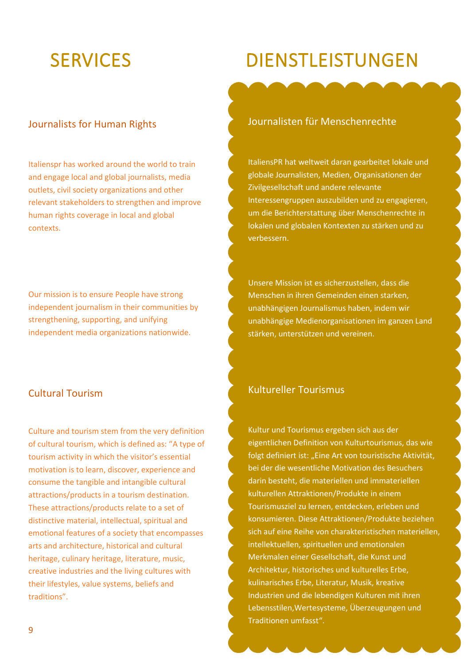# SERVICES DIENSTLEISTUNGEN

# Journalists for Human Rights

Italienspr has worked around the world to train and engage local and global journalists, media outlets, civil society organizations and other relevant stakeholders to strengthen and improve human rights coverage in local and global contexts.

Our mission is to ensure People have strong independent journalism in their communities by strengthening, supporting, and unifying independent media organizations nationwide.

# Cultural Tourism

Culture and tourism stem from the very definition of cultural tourism, which is defined as: "A type of tourism activity in which the visitor's essential motivation is to learn, discover, experience and consume the tangible and intangible cultural attractions/products in a tourism destination. These attractions/products relate to a set of distinctive material, intellectual, spiritual and emotional features of a society that encompasses arts and architecture, historical and cultural heritage, culinary heritage, literature, music, creative industries and the living cultures with their lifestyles, value systems, beliefs and traditions".

#### Journalisten für Menschenrechte

ItaliensPR hat weltweit daran gearbeitet lokale und globale Journalisten, Medien, Organisationen der Zivilgesellschaft und andere relevante Interessengruppen auszubilden und zu engagieren, um die Berichterstattung über Menschenrechte in lokalen und globalen Kontexten zu stärken und zu verbessern.

Unsere Mission ist es sicherzustellen, dass die Menschen in ihren Gemeinden einen starken, unabhängigen Journalismus haben, indem wir unabhängige Medienorganisationen im ganzen Land stärken, unterstützen und vereinen.

### Kultureller Tourismus

Kultur und Tourismus ergeben sich aus der eigentlichen Definition von Kulturtourismus, das wie folgt definiert ist: "Eine Art von touristische Aktivität, bei der die wesentliche Motivation des Besuchers darin besteht, die materiellen und immateriellen kulturellen Attraktionen/Produkte in einem Tourismusziel zu lernen, entdecken, erleben und konsumieren. Diese Attraktionen/Produkte beziehen sich auf eine Reihe von charakteristischen materiellen, intellektuellen, spirituellen und emotionalen Merkmalen einer Gesellschaft, die Kunst und Architektur, historisches und kulturelles Erbe, kulinarisches Erbe, Literatur, Musik, kreative Industrien und die lebendigen Kulturen mit ihren Lebensstilen,Wertesysteme, Überzeugungen und Traditionen umfasst".